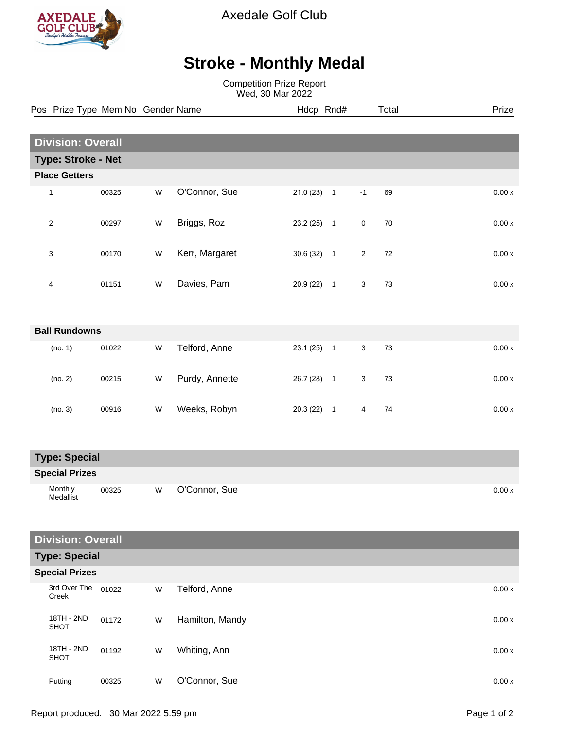

Axedale Golf Club

## **Stroke - Monthly Medal**

Competition Prize Report Wed, 30 Mar 2022

| Pos Prize Type Mem No Gender Name |                          | Hdcp Rnd# |                |              |                | Prize          |        |  |        |
|-----------------------------------|--------------------------|-----------|----------------|--------------|----------------|----------------|--------|--|--------|
|                                   |                          |           |                |              |                |                |        |  |        |
|                                   | <b>Division: Overall</b> |           |                |              |                |                |        |  |        |
| <b>Type: Stroke - Net</b>         |                          |           |                |              |                |                |        |  |        |
| <b>Place Getters</b>              |                          |           |                |              |                |                |        |  |        |
| 1                                 | 00325                    | W         | O'Connor, Sue  | $21.0(23)$ 1 |                | $-1$           | 69     |  | 0.00x  |
| 2                                 | 00297                    | W         | Briggs, Roz    | $23.2(25)$ 1 |                | $\mathbf 0$    | 70     |  | 0.00x  |
| 3                                 | 00170                    | W         | Kerr, Margaret | $30.6(32)$ 1 |                | $\overline{2}$ | $72\,$ |  | 0.00x  |
| 4                                 | 01151                    | W         | Davies, Pam    | $20.9(22)$ 1 |                | 3              | 73     |  | 0.00x  |
| <b>Ball Rundowns</b>              |                          |           |                |              |                |                |        |  |        |
| (no. 1)                           | 01022                    | W         | Telford, Anne  | 23.1(25)     | $\overline{1}$ | 3              | 73     |  | 0.00x  |
| (no. 2)                           | 00215                    | W         | Purdy, Annette | 26.7 (28)    | $\overline{1}$ | 3              | 73     |  | 0.00x  |
| (no. 3)                           | 00916                    | W         | Weeks, Robyn   | $20.3(22)$ 1 |                | 4              | 74     |  | 0.00 x |
|                                   |                          |           |                |              |                |                |        |  |        |

| <b>Type: Special</b>  |       |   |               |        |  |  |
|-----------------------|-------|---|---------------|--------|--|--|
| <b>Special Prizes</b> |       |   |               |        |  |  |
| Monthly<br>Medallist  | 00325 | W | O'Connor, Sue | 0.00 x |  |  |

## **Division: Overall**

|  | <b>Type: Special</b><br><b>Special Prizes</b> |       |   |                 |        |  |
|--|-----------------------------------------------|-------|---|-----------------|--------|--|
|  |                                               |       |   |                 |        |  |
|  | 3rd Over The<br>Creek                         | 01022 | W | Telford, Anne   | 0.00 x |  |
|  | 18TH - 2ND<br><b>SHOT</b>                     | 01172 | W | Hamilton, Mandy | 0.00 x |  |
|  | 18TH - 2ND<br><b>SHOT</b>                     | 01192 | W | Whiting, Ann    | 0.00 x |  |
|  | Putting                                       | 00325 | W | O'Connor, Sue   | 0.00 x |  |